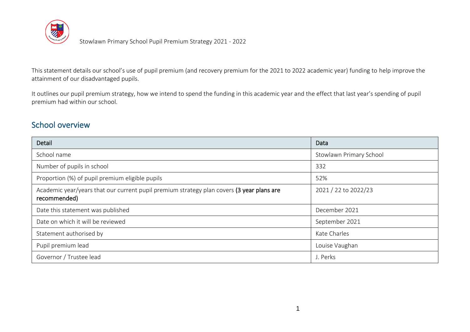

This statement details our school's use of pupil premium (and recovery premium for the 2021 to 2022 academic year) funding to help improve the attainment of our disadvantaged pupils.

It outlines our pupil premium strategy, how we intend to spend the funding in this academic year and the effect that last year's spending of pupil premium had within our school.

### School overview

| Detail                                                                                                    | Data                    |
|-----------------------------------------------------------------------------------------------------------|-------------------------|
| School name                                                                                               | Stowlawn Primary School |
| Number of pupils in school                                                                                | 332                     |
| Proportion (%) of pupil premium eligible pupils                                                           | 52%                     |
| Academic year/years that our current pupil premium strategy plan covers (3 year plans are<br>recommended) | 2021 / 22 to 2022/23    |
| Date this statement was published                                                                         | December 2021           |
| Date on which it will be reviewed                                                                         | September 2021          |
| Statement authorised by                                                                                   | Kate Charles            |
| Pupil premium lead                                                                                        | Louise Vaughan          |
| Governor / Trustee lead                                                                                   | J. Perks                |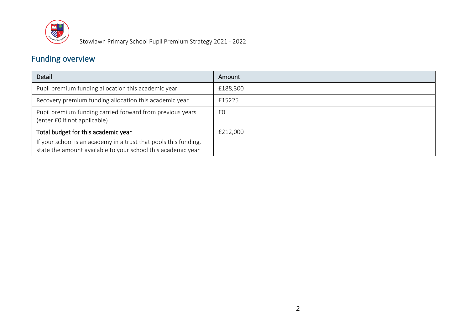

## Funding overview

| Detail                                                                                                                           | Amount   |
|----------------------------------------------------------------------------------------------------------------------------------|----------|
| Pupil premium funding allocation this academic year                                                                              | £188,300 |
| Recovery premium funding allocation this academic year                                                                           | £15225   |
| Pupil premium funding carried forward from previous years<br>(enter £0 if not applicable)                                        | £0       |
| Total budget for this academic year                                                                                              | £212,000 |
| If your school is an academy in a trust that pools this funding,<br>state the amount available to your school this academic year |          |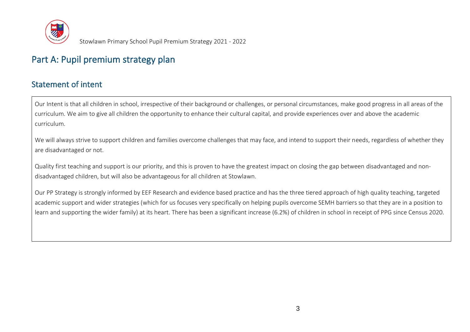

# Part A: Pupil premium strategy plan

### Statement of intent

Our Intent is that all children in school, irrespective of their background or challenges, or personal circumstances, make good progress in all areas of the curriculum. We aim to give all children the opportunity to enhance their cultural capital, and provide experiences over and above the academic curriculum.

We will always strive to support children and families overcome challenges that may face, and intend to support their needs, regardless of whether they are disadvantaged or not.

Quality first teaching and support is our priority, and this is proven to have the greatest impact on closing the gap between disadvantaged and nondisadvantaged children, but will also be advantageous for all children at Stowlawn.

Our PP Strategy is strongly informed by EEF Research and evidence based practice and has the three tiered approach of high quality teaching, targeted academic support and wider strategies (which for us focuses very specifically on helping pupils overcome SEMH barriers so that they are in a position to learn and supporting the wider family) at its heart. There has been a significant increase (6.2%) of children in school in receipt of PPG since Census 2020.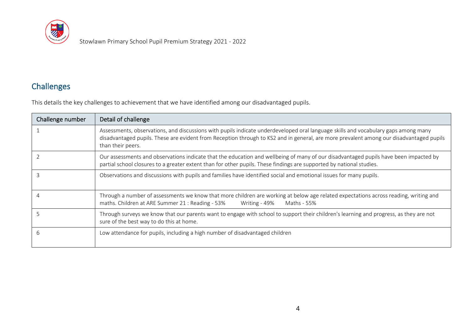

## Challenges

This details the key challenges to achievement that we have identified among our disadvantaged pupils.

| Challenge number | Detail of challenge                                                                                                                                                                                                                                                                                |  |
|------------------|----------------------------------------------------------------------------------------------------------------------------------------------------------------------------------------------------------------------------------------------------------------------------------------------------|--|
|                  | Assessments, observations, and discussions with pupils indicate underdeveloped oral language skills and vocabulary gaps among many<br>disadvantaged pupils. These are evident from Reception through to KS2 and in general, are more prevalent among our disadvantaged pupils<br>than their peers. |  |
|                  | Our assessments and observations indicate that the education and wellbeing of many of our disadvantaged pupils have been impacted by<br>partial school closures to a greater extent than for other pupils. These findings are supported by national studies.                                       |  |
|                  | Observations and discussions with pupils and families have identified social and emotional issues for many pupils.                                                                                                                                                                                 |  |
|                  | Through a number of assessments we know that more children are working at below age related expectations across reading, writing and<br>maths. Children at ARE Summer 21: Reading - 53%<br>Writing - 49%<br>Maths - 55%                                                                            |  |
|                  | Through surveys we know that our parents want to engage with school to support their children's learning and progress, as they are not<br>sure of the best way to do this at home.                                                                                                                 |  |
| h                | Low attendance for pupils, including a high number of disadvantaged children                                                                                                                                                                                                                       |  |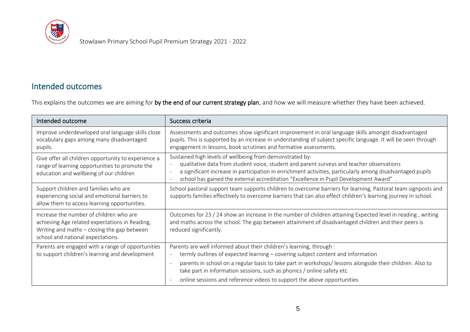

### Intended outcomes

This explains the outcomes we are aiming for by the end of our current strategy plan, and how we will measure whether they have been achieved.

| Intended outcome                                                                                                                                                                | Success criteria                                                                                                                                                                                                                                                                                                                                           |
|---------------------------------------------------------------------------------------------------------------------------------------------------------------------------------|------------------------------------------------------------------------------------------------------------------------------------------------------------------------------------------------------------------------------------------------------------------------------------------------------------------------------------------------------------|
| Improve underdeveloped oral language skills close<br>vocabulary gaps among many disadvantaged<br>pupils.                                                                        | Assessments and outcomes show significant improvement in oral language skills amongst disadvantaged<br>pupils. This is supported by an increase in understanding of subject specific language. It will be seen through<br>engagement in lessons, book scrutinies and formative assessments.                                                                |
| Give offer all children opportunity to experience a<br>range of learning opportunities to promote the<br>education and wellbeing of our children                                | Sustained high levels of wellbeing from demonstrated by:<br>qualitative data from student voice, student and parent surveys and teacher observations<br>a significant increase in participation in enrichment activities, particularly among disadvantaged pupils<br>school has gained the external accreditation "Excellence in Pupil Development Award". |
| Support children and families who are<br>experiencing social and emotional barriers to<br>allow them to access learning opportunities.                                          | School pastoral support team supports children to overcome barriers for learning, Pastoral team signposts and<br>supports families effectively to overcome barriers that can also effect children's learning journey in school.                                                                                                                            |
| Increase the number of children who are<br>achieving Age related expectations in Reading,<br>Writing and maths $-$ closing the gap between<br>school and national expectations. | Outcomes for 23 / 24 show an increase in the number of children attaining Expected level in reading, writing<br>and maths across the school. The gap between attainment of disadvantaged children and their peers is<br>reduced significantly.                                                                                                             |
| Parents are engaged with a range of opportunities<br>to support children's learning and development                                                                             | Parents are well informed about their children's learning, through :<br>termly outlines of expected learning - covering subject content and information                                                                                                                                                                                                    |
|                                                                                                                                                                                 | parents in school on a regular basis to take part in workshops/ lessons alongside their children. Also to<br>take part in information sessions, such as phonics / online safety etc                                                                                                                                                                        |
|                                                                                                                                                                                 | online sessions and reference videos to support the above opportunities                                                                                                                                                                                                                                                                                    |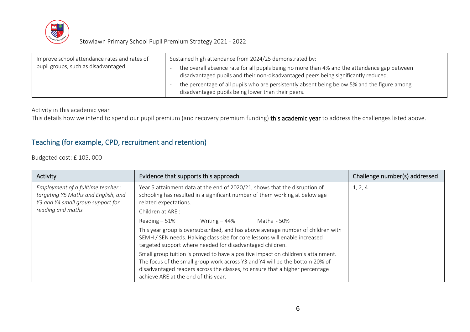

| Improve school attendance rates and rates of | Sustained high attendance from 2024/25 demonstrated by:                                                                                                                             |
|----------------------------------------------|-------------------------------------------------------------------------------------------------------------------------------------------------------------------------------------|
| pupil groups, such as disadvantaged.         | the overall absence rate for all pupils being no more than 4% and the attendance gap between<br>disadvantaged pupils and their non-disadvantaged peers being significantly reduced. |
|                                              | the percentage of all pupils who are persistently absent being below 5% and the figure among<br>disadvantaged pupils being lower than their peers.                                  |

Activity in this academic year

This details how we intend to spend our pupil premium (and recovery premium funding) this academic year to address the challenges listed above.

#### Teaching (for example, CPD, recruitment and retention)

Budgeted cost: £ 105, 000

| Activity                                                                                                                           | Evidence that supports this approach                                                                                                                                                                                                                                                      | Challenge number(s) addressed |
|------------------------------------------------------------------------------------------------------------------------------------|-------------------------------------------------------------------------------------------------------------------------------------------------------------------------------------------------------------------------------------------------------------------------------------------|-------------------------------|
| Employment of a fulltime teacher:<br>targeting Y5 Maths and English, and<br>Y3 and Y4 small group support for<br>reading and maths | Year 5 attainment data at the end of 2020/21, shows that the disruption of<br>schooling has resulted in a significant number of them working at below age<br>related expectations.<br>Children at ARE:                                                                                    | 1, 2, 4                       |
|                                                                                                                                    | Writing $-44%$<br>$Reading - 51%$<br>Maths - 50%                                                                                                                                                                                                                                          |                               |
|                                                                                                                                    | This year group is oversubscribed, and has above average number of children with<br>SEMH / SEN needs. Halving class size for core lessons will enable increased<br>targeted support where needed for disadvantaged children.                                                              |                               |
|                                                                                                                                    | Small group tuition is proved to have a positive impact on children's attainment.<br>The focus of the small group work across Y3 and Y4 will be the bottom 20% of<br>disadvantaged readers across the classes, to ensure that a higher percentage<br>achieve ARE at the end of this year. |                               |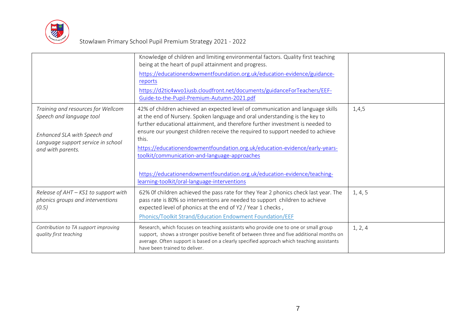

|                                                                                                                                                           | Knowledge of children and limiting environmental factors. Quality first teaching<br>being at the heart of pupil attainment and progress.<br>https://educationendowmentfoundation.org.uk/education-evidence/guidance-<br>reports<br>https://d2tic4wvo1iusb.cloudfront.net/documents/guidanceForTeachers/EEF-<br>Guide-to-the-Pupil-Premium-Autumn-2021.pdf                                                                                                                                                                                                                                              |         |
|-----------------------------------------------------------------------------------------------------------------------------------------------------------|--------------------------------------------------------------------------------------------------------------------------------------------------------------------------------------------------------------------------------------------------------------------------------------------------------------------------------------------------------------------------------------------------------------------------------------------------------------------------------------------------------------------------------------------------------------------------------------------------------|---------|
| Training and resources for Wellcom<br>Speech and language tool<br>Enhanced SLA with Speech and<br>Language support service in school<br>and with parents. | 42% of children achieved an expected level of communication and language skills<br>at the end of Nursery. Spoken language and oral understanding is the key to<br>further educational attainment, and therefore further investment is needed to<br>ensure our youngest children receive the required to support needed to achieve<br>this.<br>https://educationendowmentfoundation.org.uk/education-evidence/early-years-<br>toolkit/communication-and-language-approaches<br>https://educationendowmentfoundation.org.uk/education-evidence/teaching-<br>learning-toolkit/oral-language-interventions | 1,4,5   |
| Release of AHT - KS1 to support with<br>phonics groups and interventions<br>(0.5)                                                                         | 62% Of children achieved the pass rate for they Year 2 phonics check last year. The<br>pass rate is 80% so interventions are needed to support children to achieve<br>expected level of phonics at the end of Y2 / Year 1 checks,<br>Phonics/Toolkit Strand/Education Endowment Foundation/EEF                                                                                                                                                                                                                                                                                                         | 1, 4, 5 |
| Contribution to TA support improving<br>quality first teaching                                                                                            | Research, which focuses on teaching assistants who provide one to one or small group<br>support, shows a stronger positive benefit of between three and five additional months on<br>average. Often support is based on a clearly specified approach which teaching assistants<br>have been trained to deliver.                                                                                                                                                                                                                                                                                        | 1, 2, 4 |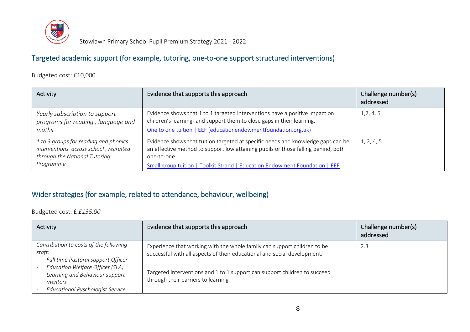

#### Targeted academic support (for example, tutoring, one-to-one support structured interventions)

Budgeted cost: £10,000

| Activity                                                                                                                      | Evidence that supports this approach                                                                                                                                                                                                                                | Challenge number(s)<br>addressed |
|-------------------------------------------------------------------------------------------------------------------------------|---------------------------------------------------------------------------------------------------------------------------------------------------------------------------------------------------------------------------------------------------------------------|----------------------------------|
| Yearly subscription to support<br>programs for reading, language and<br>maths                                                 | Evidence shows that 1 to 1 targeted interventions have a positive impact on<br>children's learning- and support them to close gaps in their learning.<br>One to one tuition   EEF (educationendowmentfoundation.org.uk)                                             | 1, 2, 4, 5                       |
| 1 to 3 groups for reading and phonics<br>interventions across school, recruited<br>through the National Tutoring<br>Programme | Evidence shows that tuition targeted at specific needs and knowledge gaps can be<br>an effective method to support low attaining pupils or those falling behind, both<br>one-to-one:<br>Small group tuition   Toolkit Strand   Education Endowment Foundation   EEF | 1, 2, 4, 5                       |

#### Wider strategies (for example, related to attendance, behaviour, wellbeing)

Budgeted cost: £ *£135,00*

| Activity                                                                                                                                                    | Evidence that supports this approach                                                                                                                                                                                              | Challenge number(s)<br>addressed |
|-------------------------------------------------------------------------------------------------------------------------------------------------------------|-----------------------------------------------------------------------------------------------------------------------------------------------------------------------------------------------------------------------------------|----------------------------------|
| Contribution to costs of the following<br>staff:<br>Full time Pastoral support Officer<br>Education Welfare Officer (SLA)<br>Learning and Behaviour support | Experience that working with the whole family can support children to be<br>successful with all aspects of their educational and social development.<br>Targeted interventions and 1 to 1 support can support children to succeed | 2.3                              |
| mentors<br><b>Educational Pyschologist Service</b>                                                                                                          | through their barriers to learning                                                                                                                                                                                                |                                  |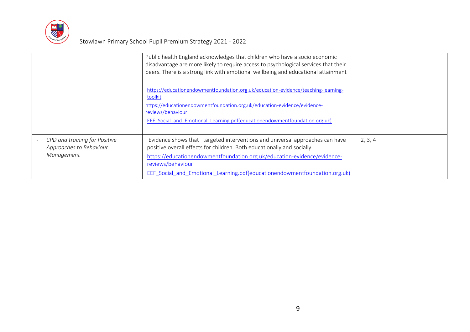

|                                                                        | Public health England acknowledges that children who have a socio economic<br>disadvantage are more likely to require access to psychological services that their<br>peers. There is a strong link with emotional wellbeing and educational attainment<br>https://educationendowmentfoundation.org.uk/education-evidence/teaching-learning-<br>toolkit<br>https://educationendowmentfoundation.org.uk/education-evidence/evidence-<br>reviews/behaviour<br><b>EEF Social and Emotional Learning.pdf(educationendowmentfoundation.org.uk)</b> |         |
|------------------------------------------------------------------------|----------------------------------------------------------------------------------------------------------------------------------------------------------------------------------------------------------------------------------------------------------------------------------------------------------------------------------------------------------------------------------------------------------------------------------------------------------------------------------------------------------------------------------------------|---------|
| CPD and training for Positive<br>Approaches to Behaviour<br>Management | Evidence shows that targeted interventions and universal approaches can have<br>positive overall effects for children. Both educationally and socially<br>https://educationendowmentfoundation.org.uk/education-evidence/evidence-<br>reviews/behaviour<br>EEF Social and Emotional Learning.pdf(educationendowmentfoundation.org.uk)                                                                                                                                                                                                        | 2, 3, 4 |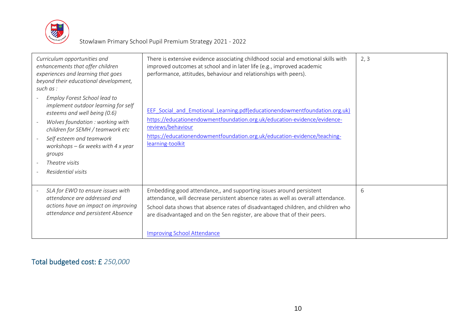

| Curriculum opportunities and<br>enhancements that offer children<br>experiences and learning that goes<br>beyond their educational development,<br>such as:<br>Employ Forest School lead to<br>implement outdoor learning for self<br>esteems and well being (0.6)<br>Wolves foundation : working with<br>children for SEMH / teamwork etc<br>Self esteem and teamwork<br>workshops $-6x$ weeks with 4 x year<br>groups<br>Theatre visits<br>Residential visits | There is extensive evidence associating childhood social and emotional skills with<br>improved outcomes at school and in later life (e.g., improved academic<br>performance, attitudes, behaviour and relationships with peers).<br>EEF Social and Emotional Learning.pdf(educationendowmentfoundation.org.uk)<br>https://educationendowmentfoundation.org.uk/education-evidence/evidence-<br>reviews/behaviour<br>https://educationendowmentfoundation.org.uk/education-evidence/teaching-<br>learning-toolkit | 2, 3 |
|-----------------------------------------------------------------------------------------------------------------------------------------------------------------------------------------------------------------------------------------------------------------------------------------------------------------------------------------------------------------------------------------------------------------------------------------------------------------|-----------------------------------------------------------------------------------------------------------------------------------------------------------------------------------------------------------------------------------------------------------------------------------------------------------------------------------------------------------------------------------------------------------------------------------------------------------------------------------------------------------------|------|
| SLA for EWO to ensure issues with<br>attendance are addressed and<br>actions have an impact on improving<br>attendance and persistent Absence                                                                                                                                                                                                                                                                                                                   | Embedding good attendance,, and supporting issues around persistent<br>attendance, will decrease persistent absence rates as well as overall attendance.<br>School data shows that absence rates of disadvantaged children, and children who<br>are disadvantaged and on the Sen register, are above that of their peers.<br><b>Improving School Attendance</b>                                                                                                                                                 | 6    |

Total budgeted cost: £ *250,000*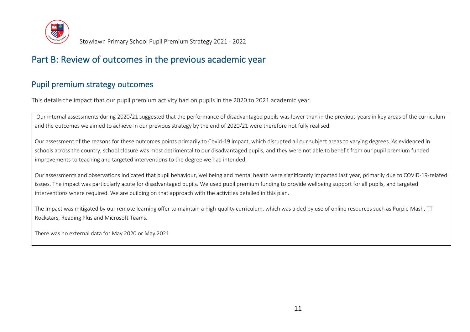

## Part B: Review of outcomes in the previous academic year

#### Pupil premium strategy outcomes

This details the impact that our pupil premium activity had on pupils in the 2020 to 2021 academic year.

Our internal assessments during 2020/21 suggested that the performance of disadvantaged pupils was lower than in the previous years in key areas of the curriculum and the outcomes we aimed to achieve in our previous strategy by the end of 2020/21 were therefore not fully realised.

Our assessment of the reasons for these outcomes points primarily to Covid-19 impact, which disrupted all our subject areas to varying degrees. As evidenced in schools across the country, school closure was most detrimental to our disadvantaged pupils, and they were not able to benefit from our pupil premium funded improvements to teaching and targeted interventions to the degree we had intended.

Our assessments and observations indicated that pupil behaviour, wellbeing and mental health were significantly impacted last year, primarily due to COVID-19-related issues. The impact was particularly acute for disadvantaged pupils. We used pupil premium funding to provide wellbeing support for all pupils, and targeted interventions where required. We are building on that approach with the activities detailed in this plan.

The impact was mitigated by our remote learning offer to maintain a high-quality curriculum, which was aided by use of online resources such as Purple Mash, TT Rockstars, Reading Plus and Microsoft Teams.

There was no external data for May 2020 or May 2021.